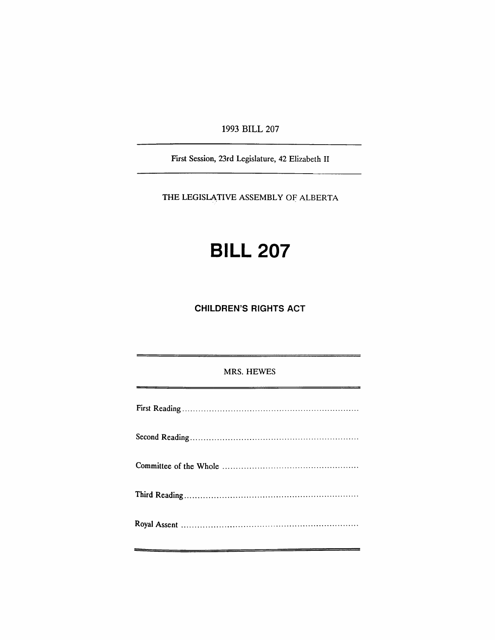1993 BILL 207

First Session, 23rd Legislature, 42 Elizabeth II

THE LEGISLATIVE ASSEMBLY OF ALBERTA

# **BILL 207**

**CHILDREN'S RIGHTS ACT**

# MRS. HEWES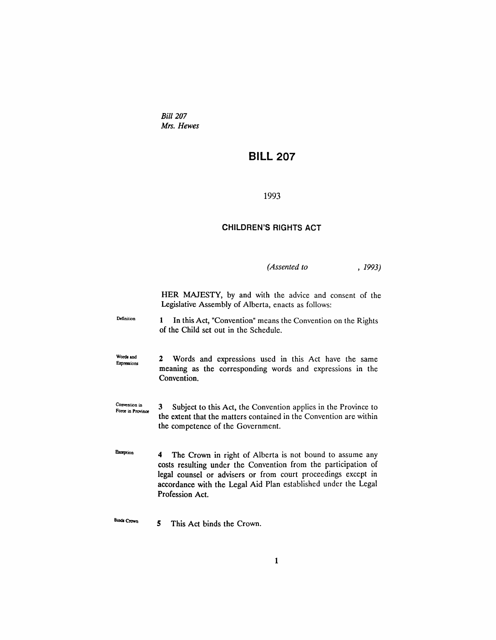*Bill 207 Mrs. Hewes*

# **BILL 207**

1993

# **CHILDREN'S RIGHTS ACT**

*(Assented to* , 1993)

HER MAJESTY, by and with the advice and consent of the Legislative Assembly of Alberta, enacts as follows:

Definilion 1 In this Act, "Convention" means the Convention on the Rights of the Child set out in the Schedule.

Words and Expressions 2 Words and expressions used in this Act have the same meaning as the corresponding words and expressions in the Convention.

Convention in Force in Province 3 Subject to this Act, the Convention applies in the Province to the extent that the matters contained in the Convention are within the competence of the Government.

**Exception** 4 The Crown in right of Alberta is not bound to assume any costs resulting under the Convention from the participation of legal counsel or advisers or from court proceedings except in accordance with the Legal Aid Plan established under the Legal Profession Act.

**Binds Crown** 5 This Act binds the Crown.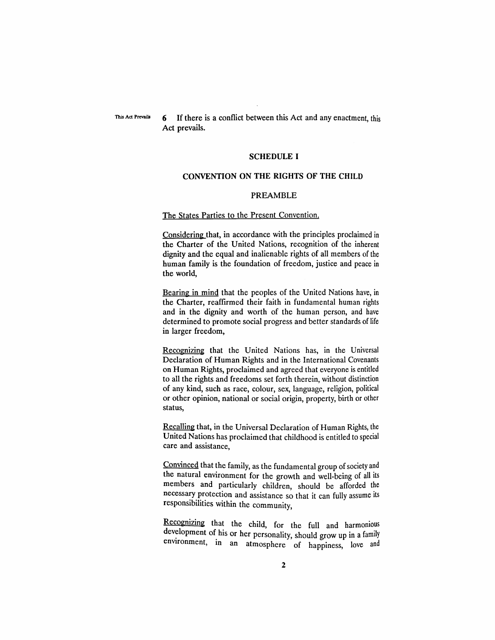This Act Prevails  $\overline{6}$  If there is a conflict between this Act and any enactment, this Act prevails.

#### SCHEDULE I

# CONVENTION ON THE RIGHTS OF THE CHILD

# PREAMBLE

#### The States Parties to the Present Convention.

Considering that, in accordance with the principles proclaimed in the Charter of the United Nations, recognition of the inherent dignity and the equal and inalienable rights of all members of the human family is the foundation of freedom, justice and peace in the world,

Bearing in mind that the peoples of the United Nations have, in the Charter, reaffirmed their faith in fundamental human rights and in the dignity and worth of the human person, and have determined to promote social progress and better standards of life in larger freedom,

Recognizing that the United Nations has, in the Universal Declaration of Human Rights and in the International Covenants on Human Rights, proclaimed and agreed that everyone is entitled to all the rights and freedoms set forth therein, without distinction of any kind, such as race, colour, sex, language, religion, political or other opinion, national or social origin, property, birth or other status,

Recalling that, in the Universal Declaration of Human Rights, the United Nations has proclaimed that childhood is entitled to special care and assistance,

Convinced that the family, as the fundamental group of society and the natural environment for the growth and well-being of all its members and particularly children, should be afforded the necessary protection and assistance so that it can fully assume its responsibilities within the community,

Recognizing that the child, for the full and harmonious development of his or her personality, should grow up in a family environment, in an atmosphere of happiness, love and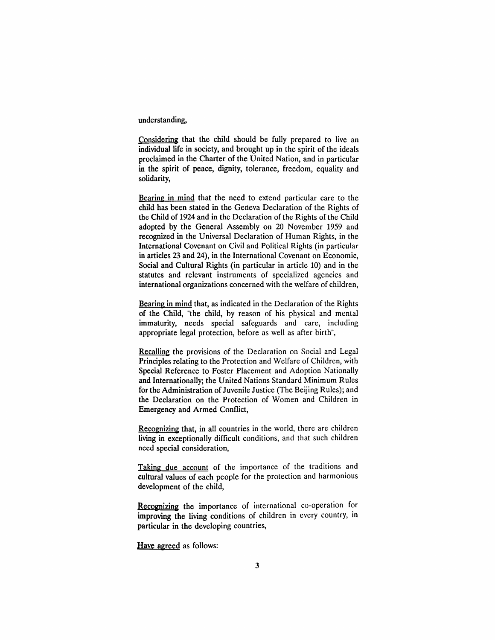understanding,

Considering that the child should be fully prepared to live an individual life in society, and brought up in the spirit of the ideals proclaimed in the Charter of the United Nation, and in particular in the spirit of peace, dignity, tolerance, freedom, equality and solidarity,

Bearing in mind that the need to extend particular care to the child has been stated in the Geneva Declaration of the Rights of the Child of 1924 and in the Declaration of the Rights of the Child adopted by the General Assembly on 20 November 1959 and recognized in the Universal Declaration of Human Rights, in the International Covenant on Civil and Political Rights (in particular in articles 23 and 24), in the International Covenant on Economic, Social and Cultural Rights (in particular in article 10) and in the statutes and relevant instruments of specialized agencies and international organizations concerned with the welfare of children,

Bearing in mind that, as indicated in the Declaration of the Rights of the Child, "the child, by reason of his physical and mental immaturity, needs special safeguards and care, including appropriate legal protection, before as well as after birth",

Recalling the provisions of the Declaration on Social and Legal Principles relating to the Protection and Welfare of Children, with Special Reference to Foster Placement and Adoption Nationally and Internationally; the United Nations Standard Minimum Rules for the Administration of Juvenile Justice (The Beijing Rules); and the Declaration on the Protection of Women and Children in Emergency and Armed Conflict,

Recognizing that, in all countries in the world, there are children living in exceptionally difficult conditions, and that such children need special consideration,

Taking due account of the importance of the traditions and cultural values of each people for the protection and harmonious development of the child,

Recognizing the importance of international co-operation for improving the living conditions of children in every country, in particular in the developing countries,

Have agreed as follows: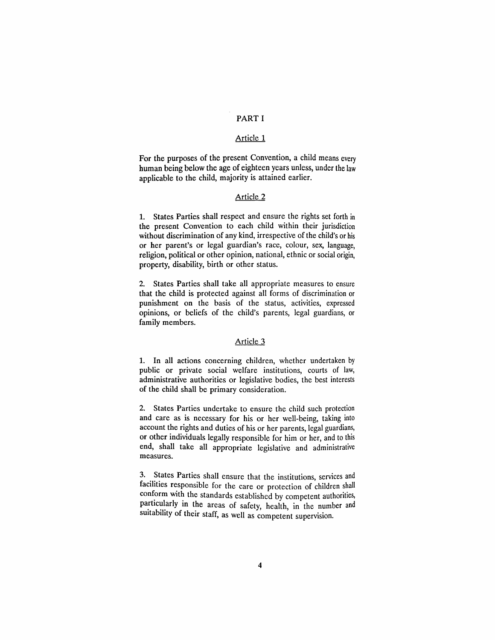# PART I

# Article 1

For the purposes of the present Convention, a child means every human being below the age of eighteen years unless, under the law applicable to the child, majority is attained earlier.

# Article 2

1. States Parties shall respect and ensure the rights set forth in the present Convention to each child within their jurisdiction without discrimination of any kind, irrespective of the child's or his or her parent's or legal guardian's race, colour, sex, language, religion, political or other opinion, national, ethnic or social origin, property, disability, birth or other status.

2. States Parties shall take all appropriate measures to ensure that the child is protected against all forms of discrimination or punishment on the basis of the status, activities, expressed opinions, or beliefs of the child's parents, legal guardians, or family members.

#### Article 3

1. In all actions concerning children, whether undertaken by public or private social welfare institutions, courts of law, administrative authorities or legislative bodies, the best interests of the child shall be primary consideration.

2. States Parties undertake to ensure the child such protection and care as is necessary for his or her well-being, taking into account the rights and duties of his or her parents, legal guardians, or other individuals legally responsible for him or her, and to this end, shall take all appropriate legislative and administrative measures.

3. States Parties shall ensure that the institutions, services and facilities responsible for the care or protection of children shall conform with the standards established by competent authorities, particularly in the areas of safety, health, in the number and suitability of their staff, as well as competent supervision.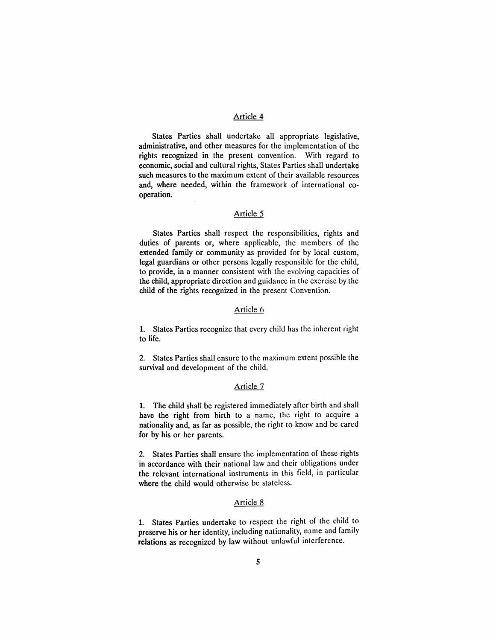States Parties shall undertake all appropriate legislative, administrative, and other measures for the implementation of the rights recognized in the present convention. With regard to economic, social and cultural rights, States Parties shall undertake such measures to the maximum extent of their available resources and, where needed, within the framework of international cooperation.

# Article 5

States Parties shall respect the responsibilities, rights and duties of parents or, where applicable, the members of the extended family or community as provided for by local custom, legal guardians or other persons legally responsible for the child, to provide, in a manner consistent with the evolving capacities of the child, appropriate direction and guidance in the exercise by the child of the rights recognized in the present Convention.

#### Article 6

1. States Parties recognize that every child has the inherent right to life.

2. States Parties shall ensure to the maximum extent possible the survival and development of the child.

#### Article 7

1. The child shall be registered immediately after birth and shall have the right from birth to a name, the right to acquire a nationality and, as far as possible, the right to know and be cared for by his or her parents.

2. States Parties shall ensure the implementation of these rights in accordance with their national law and their obligations under the relevant international instruments in this field, in particular where the child would otherwise be stateless.

# Article 8

1. States Parties undertake to respect the right of the child to preserve his or her identity, including nationality, name and family relations as recognized by law without unlawful interference.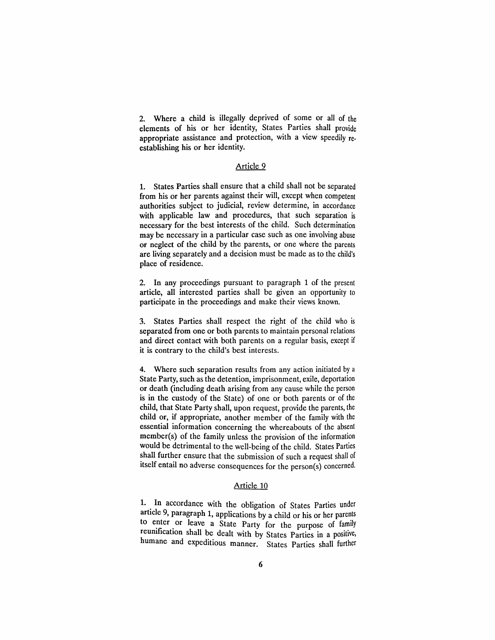2. Where a child is illegally deprived of some or all of the elements of his or her identity, States Parties shall provide appropriate assistance and protection, with a view speedily reestablishing his or her identity.

# Article 9

1. States Parties shall ensure that a child shall not be separated from his or her parents against their will, except when competent authorities subject to judicial, review determine, in accordance with applicable law and procedures, that such separation is necessary for the best interests of the child. Such determination may be necessary in a particular case such as one involving abuse or neglect of the child by the parents, or one where the parents are living separately and a decision must be made as to the child's place of residence.

2. In any proceedings pursuant to paragraph 1 of the present article, all interested parties shall be given an opportunity to participate in the proceedings and make their views known.

3. States Parties shall respect the right of the child who is separated from one or both parents to maintain personal relations and direct contact with both parents on a regular basis, except if it is contrary to the child's best interests.

4. Where such separation results from any action initiated by a State Party, such as the detention, imprisonment, exile, deportation or death (including death arising from any cause while the person is in the custody of the State) of one or both parents or of the child, that State Party shall, upon request, provide the parents, the child or, if appropriate, another member of the family with the essential information concerning the whereabouts of the absent member(s) of the family unless the provision of the information would be detrimental to the well-being of the child. States Parties shall further ensure that the submission of such a request shall of itself entail no adverse consequences for the person(s) concerned.

#### Article 10

1. In accordance with the obligation of States Parties under article 9, paragraph 1, applications by a child or his or her parents to enter or leave a State Party for the purpose of family reunification shall be dealt with by States Parties in a positive, humane and expeditious manner. States Parties shall further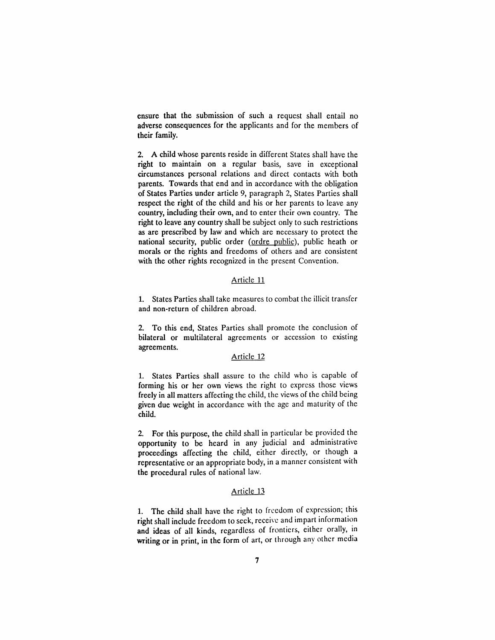ensure that the submission of such a request shall entail no adverse consequences for the applicants and for the members of their family.

2. A child whose parents reside in different States shall have the right to maintain on a regular basis, save in exceptional circumstances personal relations and direct contacts with both parents. Towards that end and in accordance with the obligation of States Parties under article 9, paragraph 2, States Parties shall respect the right of the child and his or her parents to leave any country, including their own, and to enter their own country. The right to leave any country shall be subject only to such restrictions as are prescribed by law and which are necessary to protect the national security, public order (ordre public), public heath or morals or the rights and freedoms of others and are consistent with the other rights recognized in the present Convention.

#### Article 11

1. States Parties shall take measures to combat the illicit transfer and non-return of children abroad.

2. To this end, States Parties shall promote the conclusion of bilateral or multilateral agreements or accession to existing agreements.

#### Article 12

1. States Parties shall assure to the child who is capable of forming his or her own views the right to express those views freely in all matters affecting the child, the views of the child being given due weight in accordance with the age and maturity of the child.

2. For this purpose, the child shall in particular be provided the opportunity to be heard in any judicial and administrative proceedings affecting the child, either directly, or though a representative or an appropriate body, in a manner consistent with the procedural rules of national law.

#### Article 13

1. The child shall have the right to freedom of expression; this right shall include freedom to seek, receive and impart information and ideas of all kinds, regardless of frontiers, either orally, in writing or in print, in the form of art, or through any other media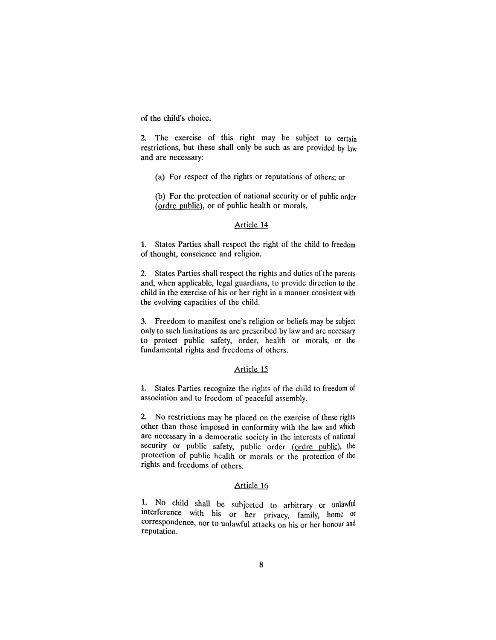of the child's choice.

2. The exercise of this right may be subject to certain restrictions, but these shall only be such as are provided by law and are necessary:

(a) For respect of the rights or reputations of others; or

(b) For the protection of national security or of public order (ordre public), or of public health or morals.

# Article 14

1. States Parties shall respect the right of the child to freedom of thought, conscience and religion.

2. States Parties shall respect the rights and duties of the parents and, when applicable, legal guardians, to provide direction to the child in the exercise of his or her right in a manner consistent with the evolving capacities of the child.

3. Freedom to manifest one's religion or beliefs may be subject only to such limitations as are prescribed by law and are necessary to protect public safety, order, health or morals, or the fundamental rights and freedoms of others.

#### Article 15

1. States Parties recognize the rights of the child to freedom of association and to freedom of peaceful assembly.

2. No restrictions may be placed on the exercise of these rights other than those imposed in conformity with the law and which are necessary in a democratic society in the interests of national security or public safety, public order (ordre public), the protection of public health or morals or the protection of the rights and freedoms of others.

#### Article 16

1. No child shall be subjected to arbitrary or unlawful mterference with his or her privacy, family, home or correspondence, nor to unlawful attacks on his or her honour and reputation.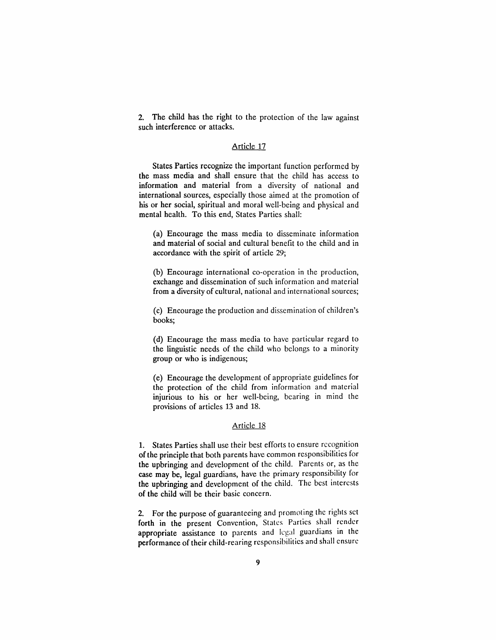2. The child has the right to the protection of the law against such interference or attacks.

# Article 17

States Parties recognize the important function performed by the mass media and shall ensure that the child has access to information and material from a diversity of national and international sources, especially those aimed at the promotion of his or her social, spiritual and moral well-being and physical and mental health. To this end, States Parties shall:

(a) Encourage the mass media to disseminate information and material of social and cultural benefit to the child and in accordance with the spirit of article 29;

(b) Encourage international co-operation in the production, exchange and dissemination of such information and material from a diversity of cultural, national and international sources;

(c) Encourage the production and dissemination of children's books;

(d) Encourage the mass media to have particular regard to the linguistic needs of the child who belongs to a minority group or who is indigenous;

(e) Encourage the development of appropriate guidelines for the protection of the child from information and material injurious to his or her well-being, bearing in mind the provisions of articles 13 and 18.

# Article 18

1. States Parties shall use their best efforts to ensure recognition of the principle that both parents have common responsibilities for the upbringing and development of the child. Parents or, as the case may be, legal guardians, have the primary responsibility for the upbringing and development of the child. The best interests of the child will be their basic concern.

2. For the purpose of guaranteeing and promoting the rights set forth in the present Convention, States Parties shall render appropriate assistance to parents and legal guardians in the performance of their child-rearing responsibilities and shall ensure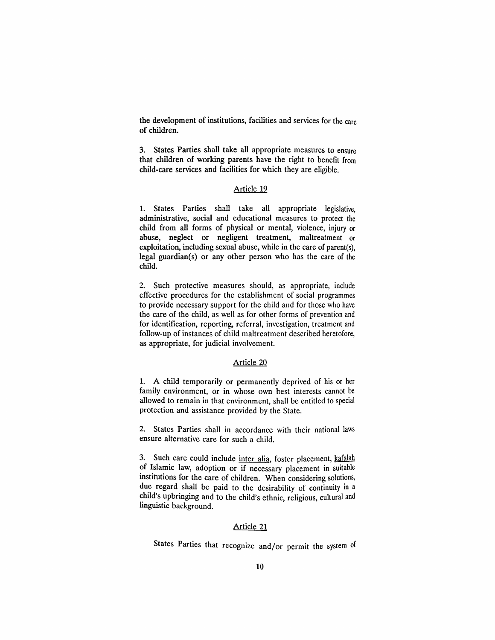the development of institutions, facilities and services for the care of children.

3. States Parties shall take all appropriate measures to ensure that children of working parents have the right to benefit from child-care services and facilities for which they are eligible.

# Article 19

1. States Parties shall take all appropriate legislative, administrative, social and educational measures to protect the child from all forms of physical or mental, violence, injury or abuse, neglect or negligent treatment, maltreatment or exploitation, including sexual abuse, while in the care of parent(s), legal guardian(s) or any other person who has the care of the child.

2. Such protective measures should, as appropriate, include effective procedures for the establishment of social programmes to provide necessary support for the child and for those who have the care of the child, as well as for other forms of prevention and for identification, reporting, referral, investigation, treatment and follow-up of instances of child maltreatment described heretofore, as appropriate, for judicial involvement.

#### Article 20

1. A child temporarily or permanently deprived of his or her family environment, or in whose own best interests cannot be allowed to remain in that environment, shall be entitled to special protection and assistance provided by the State.

2. States Parties shall in accordance with their national laws ensure alternative care for such a child.

3. Such care could include inter alia, foster placement, kafalah of Islamic law, adoption or if necessary placement in suitable institutions for the care of children. When considering solutions, due regard shall be paid to the desirability of continuity in a child's upbringing and to the child's ethnic, religious, cultural and linguistic background.

# Article 21

States Parties that recognize and/or permit the system of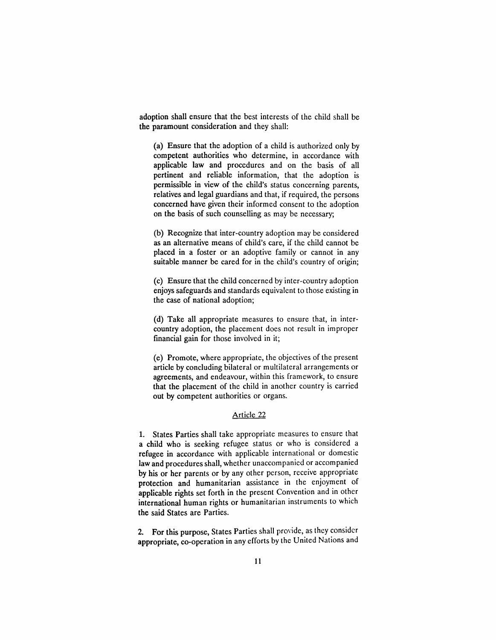adoption shall ensure that the best interests of the child shall be the paramount consideration and they shall:

(a) Ensure that the adoption of a child is authorized only by competent authorities who determine, in accordance with applicable law and procedures and on the basis of all pertinent and reliable information, that the adoption is permissible in view of the child's status concerning parents, relatives and legal guardians and that, if required, the persons concerned have given their informed consent to the adoption on the basis of such counselling as may be necessary;

(b) Recognize that inter-country adoption may be considered as an alternative means of child's care, if the child cannot be placed in a foster or an adoptive family or cannot in any suitable manner be cared for in the child's country of origin;

(c) Ensure that the child concerned by inter-country adoption enjoys safeguards and standards equivalent to those existing in the case of national adoption;

(d) Take all appropriate measures to ensure that, in intercountry adoption, the placement does not result in improper financial gain for those involved in it;

(e) Promote, where appropriate, the objectives of the present article by concluding bilateral or multilateral arrangements or agreements, and endeavour, within this framework, to ensure that the placement of the child in another country is carried out by competent authorities or organs.

# Article 22

1. States Parties shall take appropriate measures to ensure that a child who is seeking refugee status or who is considered a refugee in accordance with applicable international or domestic law and procedures shall, whether unaccompanied or accompanied by his or her parents or by any other person, receive appropriate protection and humanitarian assistance in the enjoyment of applicable rights set forth in the present Convention and in other international human rights or humanitarian instruments to which the said States are Parties.

2. For this purpose, States Parties shall provide, as they consider appropriate, co-operation in any efforts by the United Nations and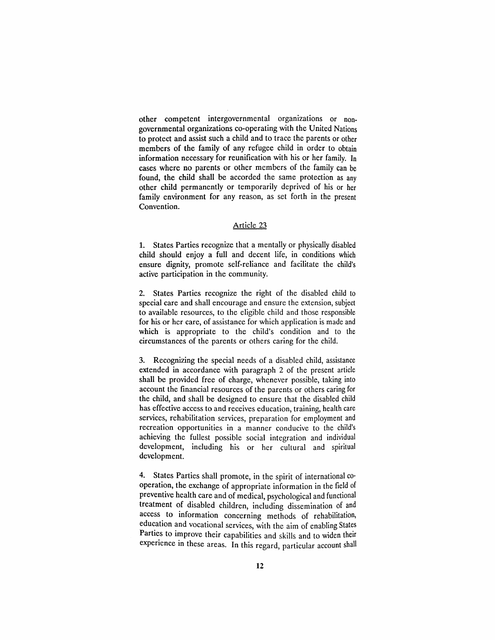other competent intergovernmental organizations or nongovernmental organizations co-operating with the United Nations to protect and assist such a child and to trace the parents or other members of the family of any refugee child in order to obtain information necessary for reunification with his or her family. In cases where no parents or other members of the family can be found, the child shall be accorded the same protection as any other child permanently or temporarily deprived of his or her family environment for any reason, as set forth in the present Convention.

# Article 23

1. States Parties recognize that a mentally or physically disabled child should enjoy a full and decent life, in conditions which ensure dignity, promote self-reliance and facilitate the child's active participation in the community.

2. States Parties recognize the right of the disabled child to special care and shall encourage and ensure the extension, subject to available resources, to the eligible child and those responsible for his or her care, of assistance for which application is made and which is appropriate to the child's condition and to the circumstances of the parents or others caring for the child.

3. Recognizing the special needs of a disabled child, assistance extended in accordance with paragraph 2 of the present article shall be provided free of charge, whenever possible, taking into account the financial resources of the parents or others caring for the child, and shall be designed to ensure that the disabled child has effective access to and receives education, training, health care services, rehabilitation services, preparation for employment and recreation opportunities in a manner conducive to the child's achieving the fullest possible social integration and individual development, including his or her cultural and spiritual development.

4. States Parties shall promote, in the spirit of international cooperation, the exchange of appropriate information in the field of preventive health care and of medical, psychological and functional treatment of disabled children, including dissemination of and access to information concerning methods of rehabilitation, education and vocational services, with the aim of enabling States Parties to improve their capabilities and skills and to widen their experience in these areas. In this regard, particular account shall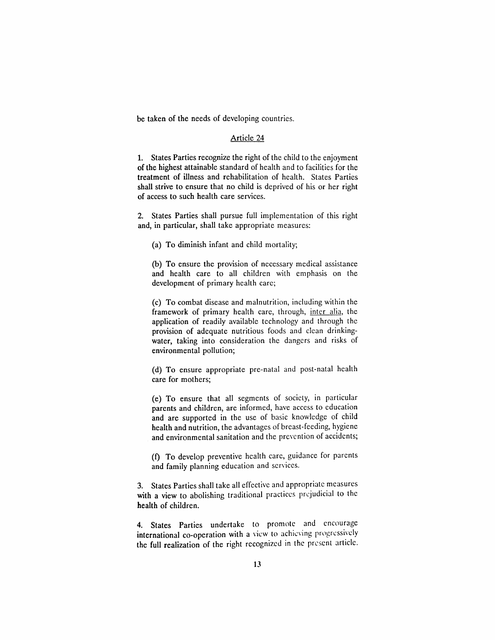be taken of the needs of developing countries.

#### Article 24

1. States Parties recognize the right of the child to the enjoyment of the highest attainable standard of health and to facilities for the treatment of illness and rehabilitation of health. States Parties shall strive to ensure that no child is deprived of his or her right of access to such health care services.

2. States Parties shall pursue full implementation of this right and, in particular, shall take appropriate measures:

(a) To diminish infant and child mortality;

(b) To ensure the provision of necessary medical assistance and health care to all children with emphasis on the development of primary health care;

(c) To combat disease and malnutrition, including within the framework of primary health care, through, inter alia, the application of readily available technology and through the provision of adequate nutritious foods and clean drinkingwater, taking into consideration the dangers and risks of environmental pollution;

(d) To ensure appropriate pre-natal and post-natal health care for mothers;

(e) To ensure that all segments of society, in particular parents and children, are informed, have access to education and are supported in the use of basic knowledge of child health and nutrition, the advantages of breast-feeding, hygiene and environmental sanitation and the prevention of accidents;

(f) To develop preventive health care, guidance for parents and family planning education and services.

3. States Parties shall take all effective and appropriate measures with a view to abolishing traditional practices prejudicial to the health of children.

4. States Parties undertake to promote and encourage international co-operation with a view to achieving progressively the full realization of the right recognized in the present article.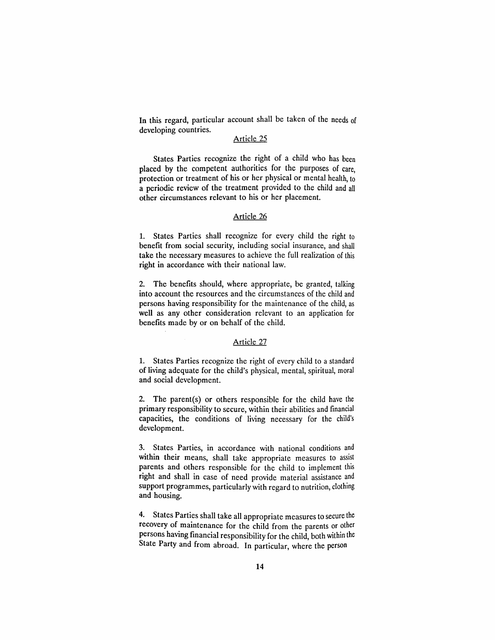In this regard, particular account shall be taken of the needs of developing countries.

# Article 25

States Parties recognize the right of a child who has been placed by the competent authorities for the purposes of care, protection or treatment of his or her physical or mental health, to a periodic review of the treatment provided to the child and all other circumstances relevant to his or her placement.

# Article 26

1. States Parties shall recognize for every child the right to benefit from social security, including social insurance, and shall take the necessary measures to achieve the full realization of this right in accordance with their national law.

2. The benefits should, where appropriate, be granted, talking into account the resources and the circumstances of the child and persons having responsibility for the maintenance of the child, as well as any other consideration relevant to an application for benefits made by or on behalf of the child.

#### Article 27

1. States Parties recognize the right of every child to a standard of living adequate for the child's physical, mental, spiritual, moral and social development.

2. The parent(s) or others responsible for the child have the primary responsibility to secure, within their abilities and financial capacities, the conditions of living necessary for the child's development.

3. States Parties, in accordance with national conditions and within their means, shall take appropriate measures to assist parents and others responsible for the child to implement this right and shall in case of need provide material assistance and support programmes, particularly with regard to nutrition, clothing and housing.

4. States Parties shall take all appropriate measures to secure the recovery of maintenance for the child from the parents or other persons having financial responsibility for the child, both within the State Party and from abroad. In particular, where the person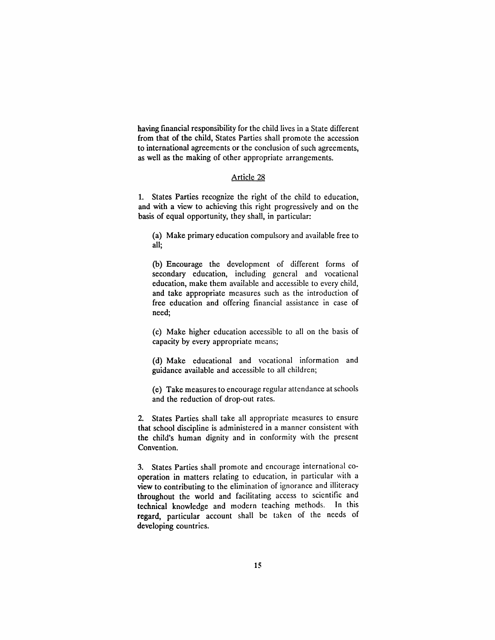having financial responsibility for the child lives in a State different from that of the child, States Parties shall promote the accession to international agreements or the conclusion of such agreements, as well as the making of other appropriate arrangements.

#### Article 28

1. States Parties recognize the right of the child to education, and with a view to achieving this right progressively and on the basis of equal opportunity, they shall, in particular:

(a) Make primary education compulsory and available free to all;

(b) Encourage the development of different forms of secondary education, including general and vocational education, make them available and accessible to every child, and take appropriate measures such as the introduction of free education and offering financial assistance in case of need;

(c) Make higher education accessible to all on the basis of capacity by every appropriate means;

(d) Make educational and vocational information and guidance available and accessible to all children;

(e) Take measures to encourage regular attendance at schools and the reduction of drop-out rates.

2. States Parties shall take all appropriate measures to ensure that school discipline is administered in a manner consistent with the child's human dignity and in conformity with the present Convention.

3. States Parties shall promote and encourage international cooperation in matters relating to education, in particular with a view to contributing to the elimination of ignorance and illiteracy throughout the world and facilitating access to scientific and technical knowledge and modern teaching methods. In this regard, particular account shall be taken of the needs of developing countries.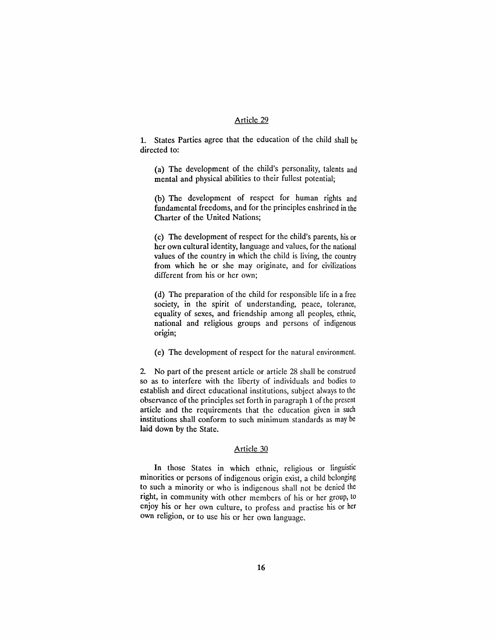1. States Parties agree that the education of the child shall be directed to:

(a) The development of the child's personality, talents and mental and physical abilities to their fullest potential;

(b) The development of respect for human rights and fundamental freedoms, and for the principles enshrined in the Charter of the United Nations;

(c) The development of respect for the child's parents, his or her own cultural identity, language and values, for the national values of the country in which the child is living, the country from which he or she may originate, and for civilizations different from his or her own;

(d) The preparation of the child for responsible life in a free society, in the spirit of understanding, peace, tolerance, equality of sexes, and friendship among all peoples, ethnic, national and religious groups and persons of indigenous origin;

(e) The development of respect for the natural environment.

2. No part of the present article or article 28 shall be construed so as to interfere with the liberty of individuals and bodies to establish and direct educational institutions, subject always to the observance of the principles set forth in paragraph 1 of the present article and the requirements that the education given in such institutions shall conform to such minimum standards as may be laid down by the State.

#### Article 30

In those States in which ethnic, religious or linguistic minorities or persons of indigenous origin exist, a child belonging to such a minority or who is indigenous shall not be denied the right, in community with other members of his or her group, to enjoy his or her own culture, to profess and practise his or her own religion, or to use his or her own language.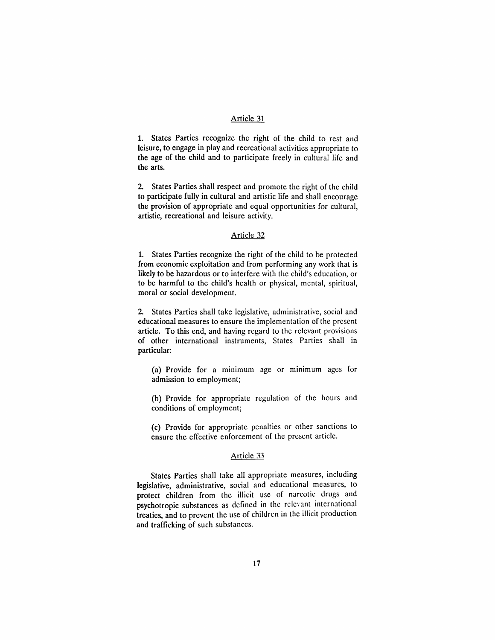1. States Parties recognize the right of the child to rest and leisure, to engage in play and recreational activities appropriate to the age of the child and to participate freely in cultural life and the arts.

2. States Parties shall respect and promote the right of the child to participate fully in cultural and artistic life and shall encourage the provision of appropriate and equal opportunities for cultural, artistic, recreational and leisure activity.

#### Article 32

1. States Parties recognize the right of the child to be protected from economic exploitation and from performing any work that is likely to be hazardous or to interfere with the child's education, or to be harmful to the child's health or physical, mental, spiritual, moral or social development.

2. States Parties shall take legislative, administrative, social and educational measures to ensure the implementation of the present article. To this end, and having regard to the relevant provisions of other international instruments, States Parties shall in particular:

(a) Provide for a minimum age or minimum ages for admission to employment;

(b) Provide for appropriate regulation of the hours and conditions of employment;

(c) Provide for appropriate penalties or other sanctions to ensure the effective enforcement of the present article.

# Article 33

States Parties shall take all appropriate measures, including legislative, administrative, social and educational measures, to protect children from the illicit use of narcotic drugs and psychotropic substances as defined in the relevant international treaties, and to prevent the use of children in the illicit production and trafficking of such substances.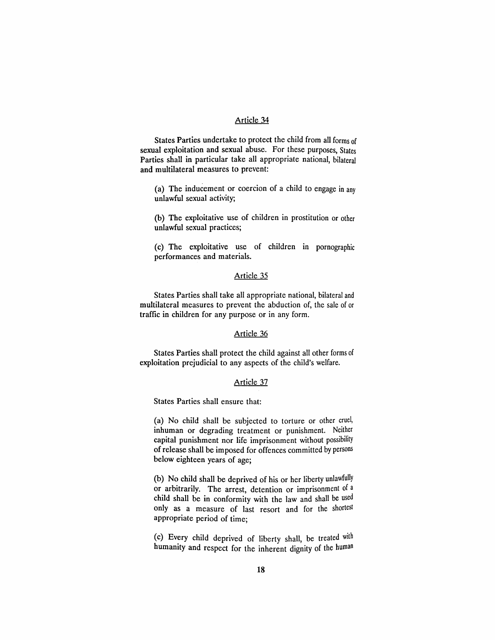States Parties undertake to protect the child from all forms of sexual exploitation and sexual abuse. For these purposes, States Parties shall in particular take all appropriate national, bilateral and multilateral measures to prevent:

(a) The inducement or coercion of a child to engage in any unlawful sexual activity;

(b) The exploitative use of children in prostitution or other unlawful sexual practices;

(c) The exploitative use of children in pornographic performances and materials.

# Article 35

States Parties shall take all appropriate national, bilateral and multilateral measures to prevent the abduction of, the sale of or traffic in children for any purpose or in any form.

#### Article 36

States Parties shall protect the child against all other forms of exploitation prejudicial to any aspects of the child's welfare.

#### Article 37

States Parties shall ensure that:

(a) No child shall be subjected to torture or other cruel, inhuman or degrading treatment or punishment. Neither capital punishment nor life imprisonment without possibility of release shall be imposed for offences committed by persons below eighteen years of age;

(b) No child shall be deprived of his or her liberty unlawfully or arbitrarily. The arrest, detention or imprisonment of a child shall be in conformity with the law and shall be used only as a measure of last resort and for the shortest appropriate period of time;

(c) Every child deprived of liberty shall, be treated with humanity and respect for the inherent dignity of the human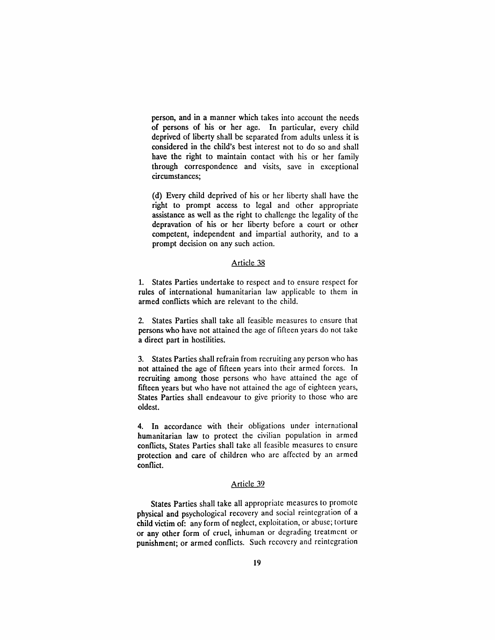person, and in a manner which takes into account the needs of persons of his or her age. In particular, every child deprived of liberty shall be separated from adults unless it is considered in the child's best interest not to do so and shall have the right to maintain contact with his or her family through correspondence and visits, save in exceptional circumstances;

(d) Every child deprived of his or her liberty shall have the right to prompt access to legal and other appropriate assistance as well as the right to challenge the legality of the depravation of his or her liberty before a court or other competent, independent and impartial authority, and to a prompt decision on any such action.

## Article 38

1. States Parties undertake to respect and to ensure respect for rules of international humanitarian law applicable to them in armed conflicts which are relevant to the child.

2. States Parties shall take all feasible measures to ensure that persons who have not attained the age of fifteen years do not take a direct part in hostilities.

3. States Parties shall refrain from recruiting any person who has not attained the age of fifteen years into their armed forces. In recruiting among those persons who have attained the age of fifteen years but who have not attained the age of eighteen years, States Parties shall endeavour to give priority to those who are oldest.

4. In accordance with their obligations under international humanitarian law to protect the civilian population in armed conflicts, States Parties shall take all feasible measures to ensure protection and care of children who are affected by an armed conflict.

#### Article 39

States Parties shall take all appropriate measures to promote physical and psychological recovery and social reintegration of a child victim of: any form of neglect, exploitation, or abuse; torture or any other form of cruel, inhuman or degrading treatment or punishment; or armed conflicts. Such recovcry and reintegration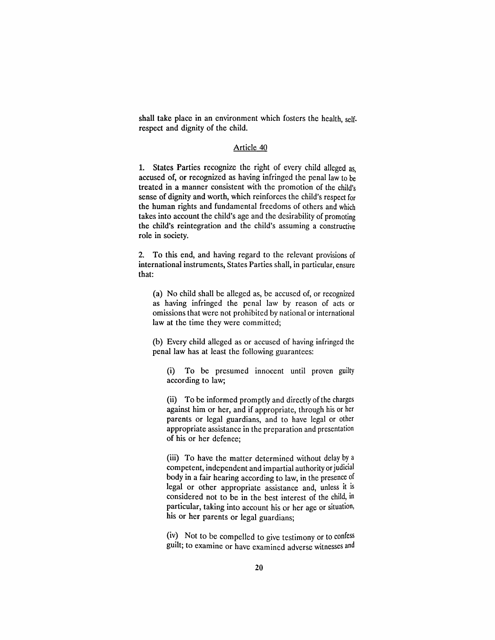shall take place in an environment which fosters the health, self. respect and dignity of the child.

#### Article 40

1. States Parties recognize the right of every child alleged as, accused of, or recognized as having infringed the penal law to be treated in a manner consistent with the promotion of the child's sense of dignity and worth, which reinforces the child's respect for the human rights and fundamental freedoms of others and which takes into account the child's age and the desirability of promoting the child's reintegration and the child's assuming a constructive role in society.

2. To this end, and having regard to the relevant provisions of international instruments, States Parties shall, in particular, ensure that:

(a) No child shall be alleged as, be accused of, or recognized as having infringed the penal law by reason of acts or omissions that were not prohibited by national or international law at the time they were committed;

(b) Every child alleged as or accused of having infringed the penal law has at least the following guarantees:

(i) To be presumed innocent until proven guilty according to law;

(ii) To be informed promptly and directly of the charges against him or her, and if appropriate, through his or her parents or legal guardians, and to have legal or other appropriate assistance in the preparation and presentation of his or her defence;

(iii) To have the matter determined without delay by a competent, independent and impartial authority or judicial body in a fair hearing according to law, in the presence of legal or other appropriate assistance and, unless it is considered not to be in the best interest of the child, in particular, taking into account his or her age or situation, his or her parents or legal guardians;

(iv) Not to be compelled to give testimony or to confess guilt; to examine or have examined adverse witnesses and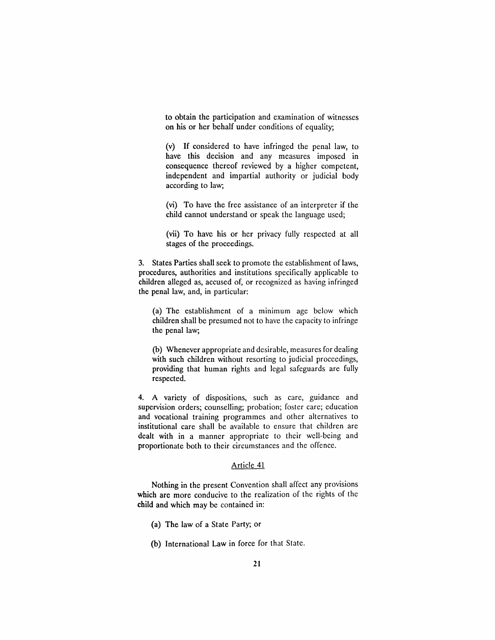to obtain the participation and examination of witnesses on his or her behalf under conditions of equality;

(v) If considered to have infringed the penal law, to have this decision and any measures imposed in consequence thereof reviewed by a higher competent, independent and impartial authority or judicial body according to law;

(vi) To have the free assistance of an interpreter if the child cannot understand or speak the language used;

(vii) To have his or her privacy fully respected at all stages of the proceedings.

3. States Parties shall seek to promote the establishment of laws, procedures, authorities and institutions specifically applicable to children alleged as, accused of, or recognized as having infringed the penal law, and, in particular:

(a) The establishment of a minimum age below which children shall be presumed not to have the capacity to infringe the penal law;

(b) Whenever appropriate and desirable, measures for dealing with such children without resorting to judicial proceedings, providing that human rights and legal safeguards are fully respected.

4. A variety of dispositions, such as care, guidance and supervision orders; counselling; probation; foster care; education and vocational training programmes and other alternatives to institutional care shall be available to ensure that children are dealt with in a manner appropriate to their well-being and proportionate both to their circumstances and the offence.

# Article 41

Nothing in the present Convention shall affect any provisions which are more conducive to the realization of the rights of the child and which may be contained in:

- (a) The law of a State Party; or
- (b) International Law in force for that State.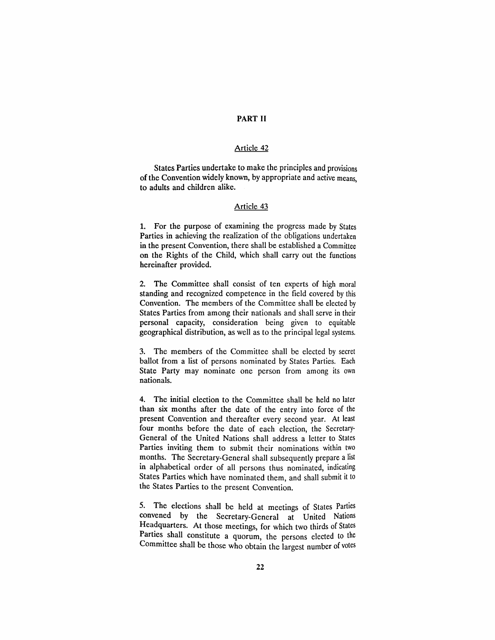# PART II

# Article 42

States Parties undertake to make the principles and provisions of the Convention widely known, by appropriate and active means, to adults and children alike.

# Article 43

1. For the purpose of examining the progress made by States Parties in achieving the realization of the obligations undertaken in the present Convention, there shall be established a Committee on the Rights of the Child, which shall carry out the functions hereinafter provided.

2. The Committee shall consist of ten experts of high moral standing and recognized competence in the field covered by this Convention. The members of the Committee shall be elected by States Parties from among their nationals and shall serve in their personal capacity, consideration being given to equitable geographical distribution, as well as to the principal legal systems.

3. The members of the Committee shall be elected by secret ballot from a list of persons nominated by States Parties. Each State Party may nominate one person from among its own nationals.

4. The initial election to the Committee shall be held no later than six months after the date of the entry into force of the present Convention and thereafter every second year. At least four months before the date of each election, the Secretary-General of the United Nations shall address a letter to States Parties inviting them to submit their nominations within two months. The Secretary-General shall subsequently prepare a list in alphabetical order of all persons thus nominated, indicating States Parties which have nominated them, and shall submit it to the States Parties to the present Convention.

5. The elections shall be held at meetings of States Parties convened by the Secretary-General at United Nations Headquarters. At those meetings, for which two thirds of States Parties shall constitute a quorum, the persons elected to the Committee shall be those who obtain the largest number of votes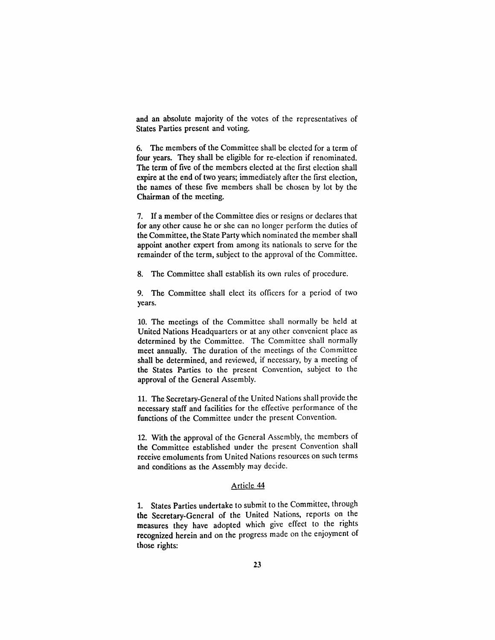and an absolute majority of the votes of the representatives of States Parties present and voting.

6. The members of the Committee shall be elected for a term of four years. They shall be eligible for re-election if renominated. The term of five of the members elected at the first election shall expire at the end of two years; immediately after the first election, the names of these five members shall be chosen by lot by the Chairman of the meeting.

7. If a member of the Committee dies or resigns or declares that for any other cause he or she can no longer perform the duties of the Committee, the State Party which nominated the member shall appoint another expert from among its nationals to serve for the remainder of the term, subject to the approval of the Committee.

8. The Committee shall establish its own rules of procedure.

9. The Committee shall elect its officers for a period of two years.

10. The meetings of the Committee shall normally be held at United Nations Headquarters or at any other convenient place as determined by the Committee. The Committee shall normally meet annually. The duration of the meetings of the Committee shall be determined, and reviewed, if necessary, by a meeting of the States Parties to the present Convention, subject to the approval of the General Assembly.

11. The Secretary-General of the United Nations shall provide the necessary staff and facilities for the effective performance of the functions of the Committee under the present Convention.

12. With the approval of the General Assembly, the members of the Committee established under the present Convention shall receive emoluments from United Nations resources on such terms and conditions as the Assembly may decide.

#### Article 44

1. States Parties undertake to submit to the Committee, through the Secretary-General of the United Nations, reports on the measures they have adopted which give effect to the rights recognized herein and on the progress made on the enjoyment of those rights: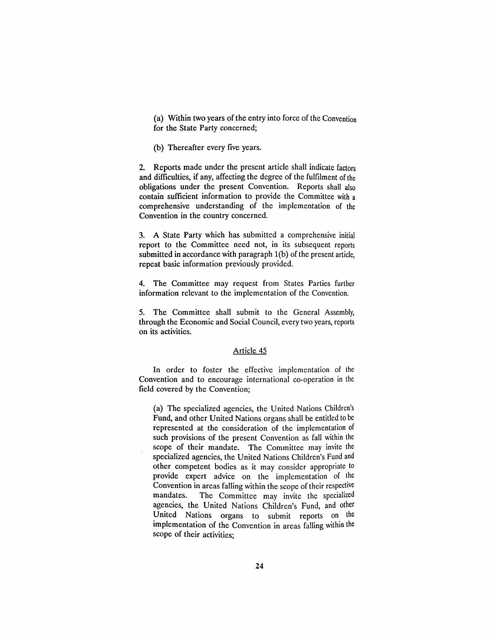(a) Within two years of the entry into force of the Convention for the State Party concerned;

(b) Thereafter every five years.

2. Reports made under the present article shall indicate factors and difficulties, if any, affecting the degree of the fulfilment of the obligations under the present Convention. Reports shall also contain sufficient information to provide the Committee with a comprehensive understanding of the implementation of the Convention in the country concerned.

3. A State Party which has submitted a comprehensive initial report to the Committee need not, in its subsequent reports submitted in accordance with paragraph 1(b) of the present article, repeat basic information previously provided.

4. The Committee may request from States Parties further information relevant to the implementation of the Convention.

5. The Committee shall submit to the General Assembly, through the Economic and Social Council, every two years, reports on its activities.

# Article 45

In order to foster the effective implementation of the Convention and to encourage international co-operation in the field covered by the Convention;

(a) The specialized agencies, the United Nations Children's Fund, and other United Nations organs shall be entitled to be represented at the consideration of the implementation of such provisions of the present Convention as fall within the scope of their mandate. The Committee may invite the specialized agencies, the United Nations Children's Fund and other competent bodies as it may consider appropriate to provide expert advice on the implementation of the Convention in areas falling within the scope of their respective mandates. The Committee may invite the specialized agencies, the United Nations Children's Fund, and other United Nations organs to submit reports on the implementation of the Convention in areas falling within the scope of their activities;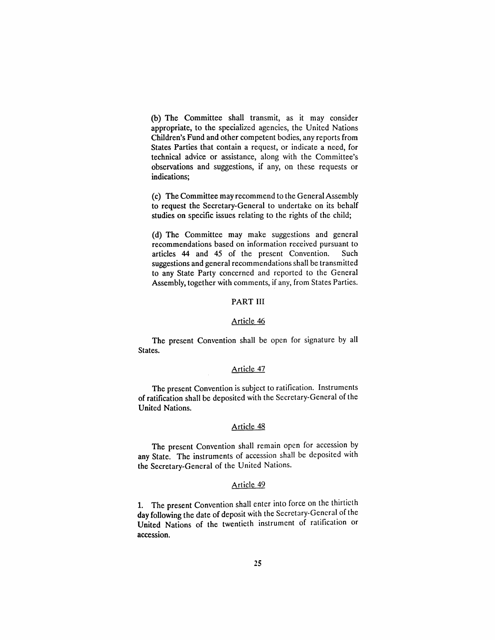(b) The Committee shall transmit, as it may consider appropriate, to the specialized agencies, the United Nations Children's Fund and other competent bodies, any reports from States Parties that contain a request, or indicate a need, for technical advice or assistance, along with the Committee's observations and suggestions, if any, on these requests or indications;

(c) The Committee may recommend to the General Assembly to request the Secretary-General to undertake on its behalf studies on specific issues relating to the rights of the child;

(d) The Committee may make suggestions and general recommendations based on information received pursuant to articles 44 and 45 of the present Convention. Such suggestions and general recommendations shall be transmitted to any State Party concerned and reported to the General Assembly, together with comments, if any, from States Parties.

# PART III

#### Article 46

The present Convention shall be open for signature by all States.

#### Article 47

The present Convention is subject to ratification. Instruments of ratification shall be deposited with the Secretary-General of the United Nations.

#### Article 48

The present Convention shall remain open for accession by any State. The instruments of accession shall be deposited with the Secretary-General of the United Nations.

#### Article 49

1. The present Convention shall enter into force on the thirtieth day following the date of deposit with the Secretary-General of the United Nations of the twentieth instrument of ratification or accession.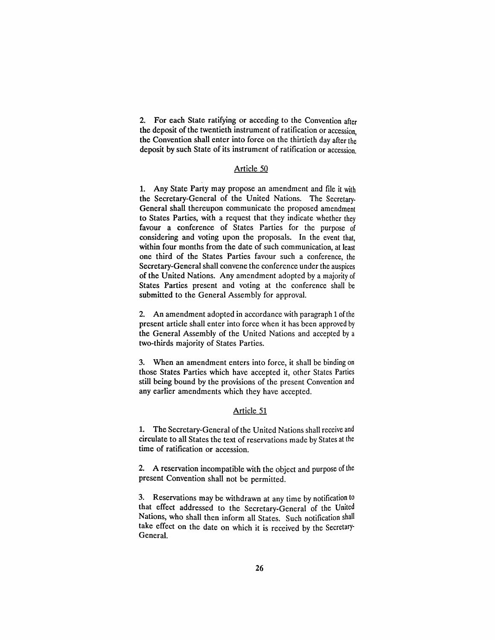2. For each State ratifying or acceding to the Convention after the deposit of the twentieth instrument of ratification or accession, the Convention shall enter into force on the thirtieth day after the deposit by such State of its instrument of ratification or accession.

#### Article 50

1. Any State Party may propose an amendment and file it with the Secretary-General of the United Nations. The Secretary-General shall thereupon communicate the proposed amendment to States Parties, with a request that they indicate whether they favour a conference of States Parties for the purpose of considering and voting upon the proposals. In the event that, within four months from the date of such communication, at least one third of the States Parties favour such a conference, the Secretary-General shall convene the conference under the auspices of the United Nations. Any amendment adopted by a majority of States Parties present and voting at the conference shall be submitted to the General Assembly for approval.

2. An amendment adopted in accordance with paragraph 1 of the present article shall enter into force when it has been approved by the General Assembly of the United Nations and accepted by a two-thirds majority of States Parties.

3. When an amendment enters into force, it shall be binding on those States Parties which have accepted it, other States Parties still being bound by the provisions of the present Convention and any earlier amendments which they have accepted.

# Article 51

1. The Secretary-General of the United Nations shall receive and circulate to all States the text of reservations made by States at the time of ratification or accession.

2. A reservation incompatible with the object and purpose of the present Convention shall not be permitted.

3. Reservations may be withdrawn at any time by notification to that effect addressed to the Secretary-General of the United Nations, who shall then inform all States. Such notification shall take effect on the date on which it is received by the Secretary-General.